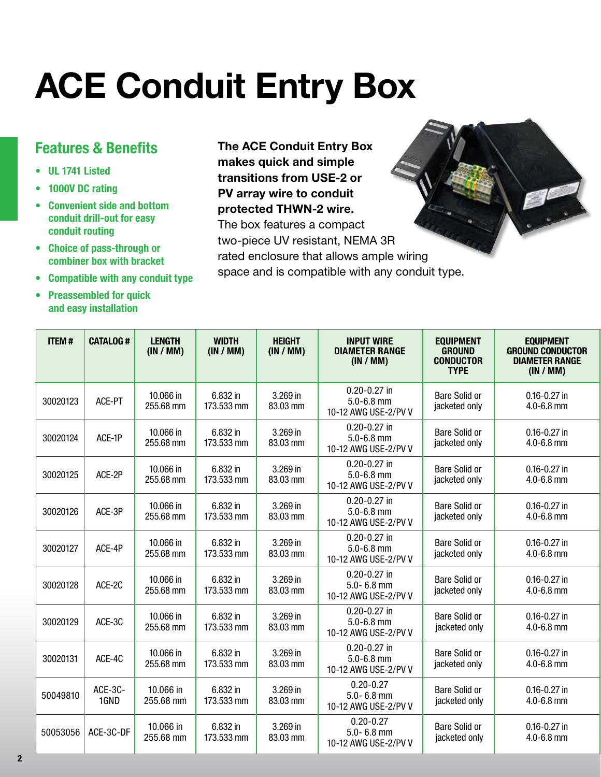## **ACE Conduit Entry Box**

## **Features & Benefits**

- **• UL 1741 Listed**
- **• 1000V DC rating**
- **• Convenient side and bottom conduit drill-out for easy conduit routing**
- **• Choice of pass-through or combiner box with bracket**
- **• Compatible with any conduit type**
- **• Preassembled for quick and easy installation**

**The ACE Conduit Entry Box makes quick and simple transitions from USE-2 or PV array wire to conduit protected THWN-2 wire.**  The box features a compact

two-piece UV resistant, NEMA 3R rated enclosure that allows ample wiring space and is compatible with any conduit type.

| <b>ITEM#</b> | <b>CATALOG#</b> | <b>LENGTH</b><br>(IN / MM) | <b>WIDTH</b><br>(IN / MM) | <b>HEIGHT</b><br>(IN / MM) | <b>INPUT WIRE</b><br><b>DIAMETER RANGE</b><br>(IN / MM)    | <b>EQUIPMENT</b><br><b>GROUND</b><br><b>CONDUCTOR</b><br><b>TYPE</b> | <b>EQUIPMENT</b><br><b>GROUND CONDUCTOR</b><br><b>DIAMETER RANGE</b><br>(IN / MM) |  |
|--------------|-----------------|----------------------------|---------------------------|----------------------------|------------------------------------------------------------|----------------------------------------------------------------------|-----------------------------------------------------------------------------------|--|
| 30020123     | ACE-PT          | 10.066 in<br>255.68 mm     | 6.832 in<br>173.533 mm    | 3.269 in<br>83.03 mm       | $0.20 - 0.27$ in<br>$5.0 - 6.8$ mm<br>10-12 AWG USE-2/PV V | <b>Bare Solid or</b><br>jacketed only                                | $0.16 - 0.27$ in<br>4.0-6.8 mm                                                    |  |
| 30020124     | ACE-1P          | 10.066 in<br>255.68 mm     | 6.832 in<br>173.533 mm    | 3.269 in<br>83.03 mm       | $0.20 - 0.27$ in<br>$5.0 - 6.8$ mm<br>10-12 AWG USE-2/PV V | <b>Bare Solid or</b><br>jacketed only                                | $0.16 - 0.27$ in<br>$4.0 - 6.8$ mm                                                |  |
| 30020125     | ACE-2P          | 10.066 in<br>255.68 mm     | 6.832 in<br>173.533 mm    | 3.269 in<br>83.03 mm       | $0.20 - 0.27$ in<br>$5.0 - 6.8$ mm<br>10-12 AWG USE-2/PV V | <b>Bare Solid or</b><br>jacketed only                                | $0.16 - 0.27$ in<br>4.0-6.8 mm                                                    |  |
| 30020126     | ACE-3P          | 10.066 in<br>255.68 mm     | 6.832 in<br>173.533 mm    | 3.269 in<br>83.03 mm       | $0.20 - 0.27$ in<br>$5.0 - 6.8$ mm<br>10-12 AWG USE-2/PV V | <b>Bare Solid or</b><br>jacketed only                                | $0.16 - 0.27$ in<br>$4.0 - 6.8$ mm                                                |  |
| 30020127     | ACE-4P          | 10.066 in<br>255.68 mm     | 6.832 in<br>173.533 mm    | 3.269 in<br>83.03 mm       | $0.20 - 0.27$ in<br>$5.0 - 6.8$ mm<br>10-12 AWG USE-2/PV V | <b>Bare Solid or</b><br>jacketed only                                | $0.16 - 0.27$ in<br>4.0-6.8 mm                                                    |  |
| 30020128     | ACE-2C          | 10.066 in<br>255.68 mm     | 6.832 in<br>173.533 mm    | 3.269 in<br>83.03 mm       | $0.20 - 0.27$ in<br>$5.0 - 6.8$ mm<br>10-12 AWG USE-2/PV V | <b>Bare Solid or</b><br>jacketed only                                | $0.16 - 0.27$ in<br>$4.0 - 6.8$ mm                                                |  |
| 30020129     | ACE-3C          | 10.066 in<br>255.68 mm     | 6.832 in<br>173.533 mm    | 3.269 in<br>83.03 mm       | $0.20 - 0.27$ in<br>$5.0 - 6.8$ mm<br>10-12 AWG USE-2/PV V | <b>Bare Solid or</b><br>jacketed only                                | $0.16 - 0.27$ in<br>$4.0 - 6.8$ mm                                                |  |
| 30020131     | ACE-4C          | 10.066 in<br>255.68 mm     | 6.832 in<br>173.533 mm    | 3.269 in<br>83.03 mm       | $0.20 - 0.27$ in<br>$5.0 - 6.8$ mm<br>10-12 AWG USE-2/PV V | <b>Bare Solid or</b><br>jacketed only                                | $0.16 - 0.27$ in<br>$4.0 - 6.8$ mm                                                |  |
| 50049810     | ACE-3C-<br>1GND | 10.066 in<br>255.68 mm     | 6.832 in<br>173.533 mm    | 3.269 in<br>83.03 mm       | $0.20 - 0.27$<br>$5.0 - 6.8$ mm<br>10-12 AWG USE-2/PV V    | <b>Bare Solid or</b><br>jacketed only                                |                                                                                   |  |
| 50053056     | ACE-3C-DF       | 10.066 in<br>255.68 mm     | 6.832 in<br>173.533 mm    | 3.269 in<br>83.03 mm       | $0.20 - 0.27$<br>$5.0 - 6.8$ mm<br>10-12 AWG USE-2/PV V    | <b>Bare Solid or</b><br>jacketed only                                | $0.16 - 0.27$ in<br>$4.0 - 6.8$ mm                                                |  |

**2**